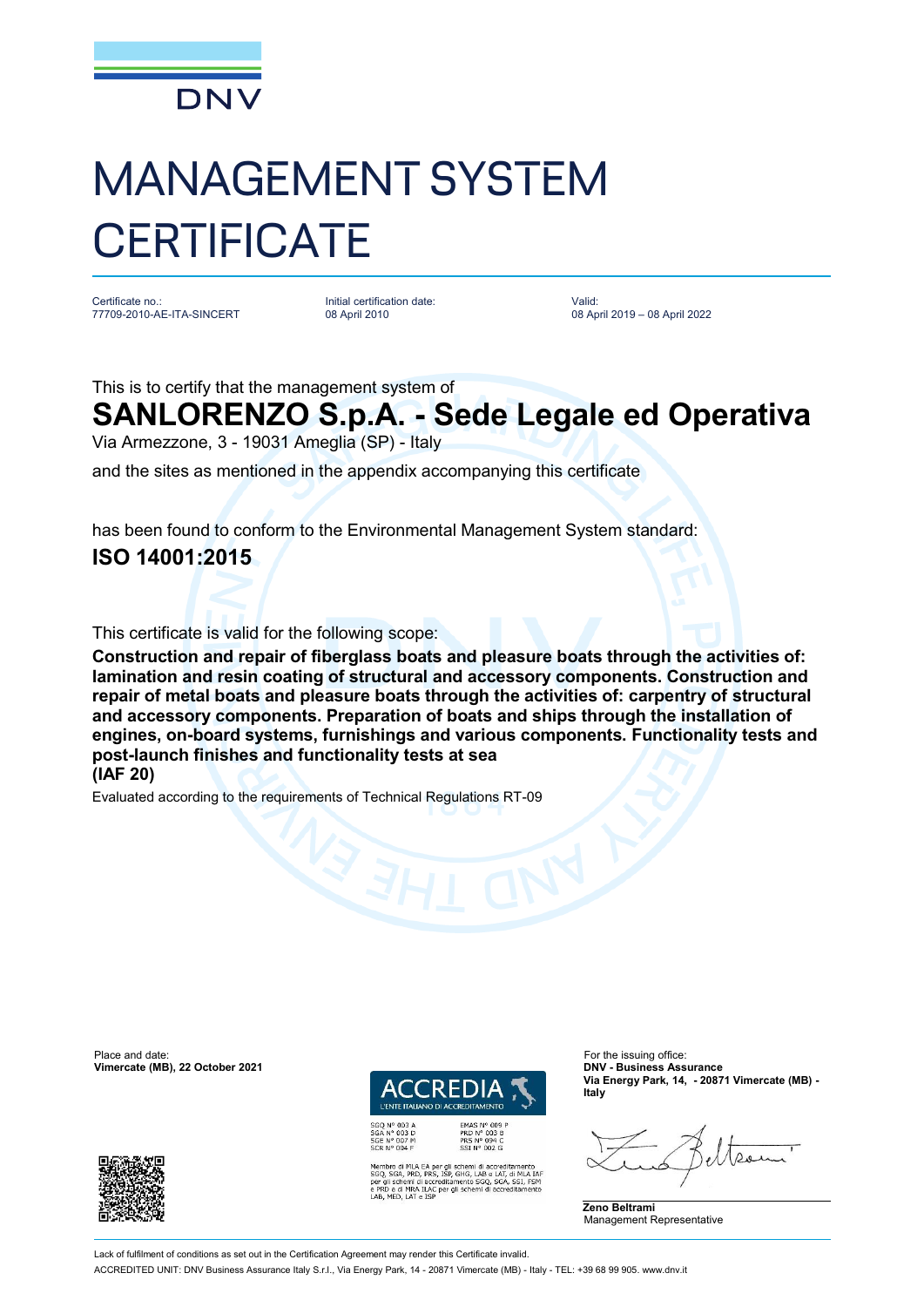

## MANAGEMENT SYSTEM **CERTIFICATE**

Certificate no.: 77709-2010-AE-ITA-SINCERT Initial certification date: 08 April 2010

Valid: 08 April 2019 – 08 April 2022

This is to certify that the management system of

## **SANLORENZO S.p.A. - Sede Legale ed Operativa**

Via Armezzone, 3 - 19031 Ameglia (SP) - Italy

and the sites as mentioned in the appendix accompanying this certificate

has been found to conform to the Environmental Management System standard: **ISO 14001:2015**

This certificate is valid for the following scope:

**Construction and repair of fiberglass boats and pleasure boats through the activities of: lamination and resin coating of structural and accessory components. Construction and repair of metal boats and pleasure boats through the activities of: carpentry of structural and accessory components. Preparation of boats and ships through the installation of engines, on-board systems, furnishings and various components. Functionality tests and post-launch finishes and functionality tests at sea**

**(IAF 20)**

Evaluated according to the requirements of Technical Regulations RT-09

Place and date: For the issuing office:<br> **Vimercate (MB), 22 October 2021 CONFINENTIAL CONFINENTIAL CONFINENTIAL CONFINENTIAL CONFINENTIAL CONFINENTIAL Vimercate (MB), 22 October 2021** 





EMAS Nº 009 F PRD Nº 003 B<br>PRS Nº 094 C<br>SSI Nº 002 G

SGQ N° 003 A<br>SGA N° 003 D<br>SGE N° 007 M<br>SCR N° 004 F

bro di MLA EA per gli schemi di accreditamento<br>SGA, PRD, PRS, ISP, GHG, LAB e LAT, di MLA IAR<br>Ill schemi di accreditamento SGQ, SGA, SSI, FSM e di MRA ILAC per gli schemi di accre<br>IED. LAT e ISP

**Via Energy Park, 14, - 20871 Vimercate (MB) - Italy**

**Zeno Beltrami** Management Representative

Lack of fulfilment of conditions as set out in the Certification Agreement may render this Certificate invalid ACCREDITED UNIT: DNV Business Assurance Italy S.r.l., Via Energy Park, 14 - 20871 Vimercate (MB) - Italy - TEL: +39 68 99 905. www.dnv.it